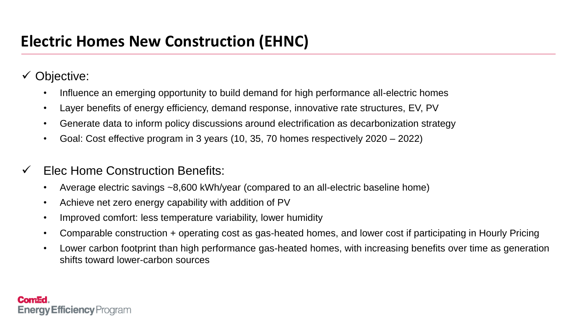# **Electric Homes New Construction (EHNC)**

Objective:

- Influence an emerging opportunity to build demand for high performance all-electric homes
- Layer benefits of energy efficiency, demand response, innovative rate structures, EV, PV
- Generate data to inform policy discussions around electrification as decarbonization strategy
- Goal: Cost effective program in 3 years (10, 35, 70 homes respectively 2020 2022)
- Elec Home Construction Benefits:
	- Average electric savings ~8,600 kWh/year (compared to an all-electric baseline home)
	- Achieve net zero energy capability with addition of PV
	- Improved comfort: less temperature variability, lower humidity
	- Comparable construction + operating cost as gas-heated homes, and lower cost if participating in Hourly Pricing
	- Lower carbon footprint than high performance gas-heated homes, with increasing benefits over time as generation shifts toward lower-carbon sources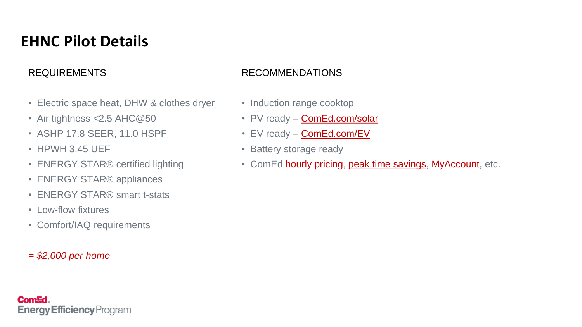## **EHNC Pilot Details**

### REQUIREMENTS

- Electric space heat, DHW & clothes dryer
- Air tightness < 2.5 AHC @ 50
- ASHP 17.8 SEER, 11.0 HSPF
- HPWH 3.45 UEF
- ENERGY STAR<sup>®</sup> certified lighting
- ENERGY STAR<sup>®</sup> appliances
- ENERGY STAR® smart t-stats
- Low-flow fixtures
- Comfort/IAQ requirements
- *= \$2,000 per home*

**Energy Efficiency** Program

**ComEd** 

#### RECOMMENDATIONS

- Induction range cooktop
- PV ready **ComEd.com/solar**
- EV ready **ComEd.com/EV**
- Battery storage ready
- ComEd **hourly pricing, peak time savings, MyAccount**, etc.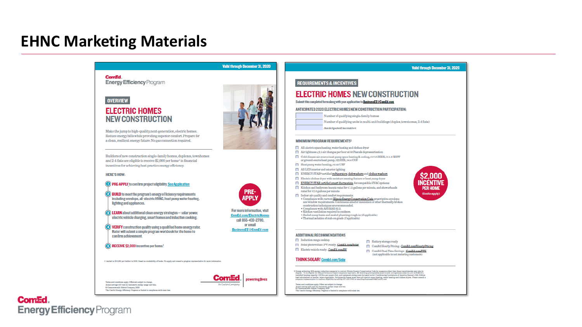### **EHNC Marketing Materials**

|                                                                                                                                                           | Valid through December 31, 2020                      | Valid through December 31, 2020                                                                                                                                                                                                   |
|-----------------------------------------------------------------------------------------------------------------------------------------------------------|------------------------------------------------------|-----------------------------------------------------------------------------------------------------------------------------------------------------------------------------------------------------------------------------------|
| ComEd.                                                                                                                                                    |                                                      |                                                                                                                                                                                                                                   |
| <b>Energy Efficiency Program</b>                                                                                                                          |                                                      | <b>REQUIREMENTS &amp; INCENTIVES</b>                                                                                                                                                                                              |
|                                                                                                                                                           |                                                      | <b>ELECTRIC HOMES NEW CONSTRUCTION</b>                                                                                                                                                                                            |
| <b>OVERVIEW</b>                                                                                                                                           |                                                      | Submit this completed form along with your application to BusinessEE@ComEd.com                                                                                                                                                    |
|                                                                                                                                                           |                                                      |                                                                                                                                                                                                                                   |
| <b>ELECTRIC HOMES</b>                                                                                                                                     |                                                      | ANTICIPATED 2020 ELECTRIC HOMES NEW CONSTRUCTION PARTICIPATION:                                                                                                                                                                   |
| <b>NEW CONSTRUCTION</b>                                                                                                                                   |                                                      | Number of qualifying single-family homes<br>Number of qualifying units in multi-unit buildings (duplex, townhomes, 2-4 flats)                                                                                                     |
|                                                                                                                                                           |                                                      | Anticipated incentive                                                                                                                                                                                                             |
| Make the jump to high-quality, next-generation, electric homes.                                                                                           |                                                      |                                                                                                                                                                                                                                   |
| Reduce energy bills while providing superior comfort. Prepare for<br>a clean, resilient energy future. No gas connection required.                        |                                                      | <b>MINIMUM PROGRAM REQUIREMENTS2</b>                                                                                                                                                                                              |
|                                                                                                                                                           |                                                      | All-electric space heating, water heating and clothes dryer                                                                                                                                                                       |
|                                                                                                                                                           |                                                      | Air tightness <2.5 air changes per hour at 50 Pascals depressurization                                                                                                                                                            |
| Builders of new construction single-family homes, duplexes, townhomes<br>and 2-4 flats are eligible to receive \$2,000 per home <sup>1</sup> in financial |                                                      | Cold climate air-source heat pump space heating & cooling, ≥17.8 SEER, ≥11.0 HSPF<br>or ground-source heat pump, >22 EER, >4.4 COP                                                                                                |
| incentives for achieving best practice energy efficiency.                                                                                                 |                                                      | Heat pump water heating, 23.45 UEF                                                                                                                                                                                                |
|                                                                                                                                                           |                                                      | All LED interior and exterior lighting                                                                                                                                                                                            |
| <b>HERE'S HOW:</b>                                                                                                                                        |                                                      | ENERGY STAR® cortified refrigerators, dishwashers and clothes washers<br>  Electric clothes dryer with moisture-sensing feature or heat pump dryer                                                                                |
| <b>(O)</b> PRE-APPLY to confirm project eligibility. See Application                                                                                      |                                                      | ENERGY STAR certified smart thermostats, for compatible HVAC systems                                                                                                                                                              |
|                                                                                                                                                           |                                                      | Kitchen and bathroom faucets rated for $\leq 1.5$ gallons per minute, and showerheads<br>PER HOMI<br>rated for \$2.0 gallons per minute                                                                                           |
| $\odot$ BUILD to meet the program's energy efficiency requirements                                                                                        | <b>PRE-</b>                                          | (limits apply)<br>$\Box$ Indoor air quality and comfort requirements:                                                                                                                                                             |
| Including envelope, all-electric HVAC, heat pump water heating,<br>lighting and appliances.                                                               | APPLY                                                | · Compliance with current Illinois Energy Conservation Code prescriptive envelope<br>and window requirements. Continuous exterior insulation or other thermally-broken                                                            |
|                                                                                                                                                           |                                                      | construction techniques are recommended.<br>· Compliance with ASHRAE 62.2.                                                                                                                                                        |
| EARN about additional clean energy strategies- solar power,                                                                                               | For more Information, visit                          | · Kitchen ventilation required to outdoors.<br>· Saaled sump basin and saaled plumbing rough-in (if applicable)                                                                                                                   |
| electric vehicle charging, smart homes and induction cooking.                                                                                             | <b>ComEd.com/ElectricHomes</b><br>call 855-433-2700. | · Thermal isolation of slab-on-grade (if applicable)                                                                                                                                                                              |
|                                                                                                                                                           | or email                                             |                                                                                                                                                                                                                                   |
| O) VERIFY construction quality using a qualified home energy rater.<br>Rater will submit a simple program workbook for the home to                        | <b>BusinessEE@ComEd.com</b>                          |                                                                                                                                                                                                                                   |
| confirmachievement.                                                                                                                                       |                                                      | <b>ADDITIONAL RECOMMENDATIONS</b>                                                                                                                                                                                                 |
|                                                                                                                                                           |                                                      | $\Box$ Induction range cooktop<br>Battery storage ready                                                                                                                                                                           |
| <b>B</b> ) RECEIVE \$2,000 Incentive per home.                                                                                                            |                                                      | Solar photovoltaic (PV) roady - ComEd.com/Solar<br>ComEd Hourly Pricing - ComEd.com/Hourly Pricing<br>Electric vehicle ready - ComEd.com/EV                                                                                       |
|                                                                                                                                                           |                                                      | ComEd Peak Time Savings - ComEd.com/PTS<br>(not applicable to net metering customers)                                                                                                                                             |
| 1 Limited in \$10,000 per builder in 2020. Ilseed on availability of funds. Pro-apply and consult a program representative for more information.          |                                                      | <b>THINK SOLAR!</b> ComEd.com/Solar                                                                                                                                                                                               |
|                                                                                                                                                           |                                                      | 2 Hones achieving 20% eargy reduction compared to current Illinois Hospy Conservation Code by measures other than these requirements may also be<br>slightle. To be eligible for this performance-board complishers about the pro |
|                                                                                                                                                           | powering lives                                       | load calculations or similar, where applicable. Participating homes must have all-electric space heating water heating and clothes dryers. Please consult a<br>program representative to confirm eligibility by calling 855-420-7 |
| Terms and conditions apply. Offers are subject to change.<br>Actual sovings will vary by customer's energy usage and rata.                                | An Exelon Compan                                     | Terms and conditions apply. Office are subject to change.                                                                                                                                                                         |
| O Commonwoodth Rilson Company, 2020<br>The Comild Knergy Efficiency Program is funded in compliance with state law.                                       |                                                      | Actual serings will vary by castomer's energy tauge and rate.<br>O Commonwealth Edison Company, 2020<br>The Comild Energy Efficiency Program is funded in compliance with state law.                                              |

Com<sup>Ed.</sup> **Energy Efficiency Program**